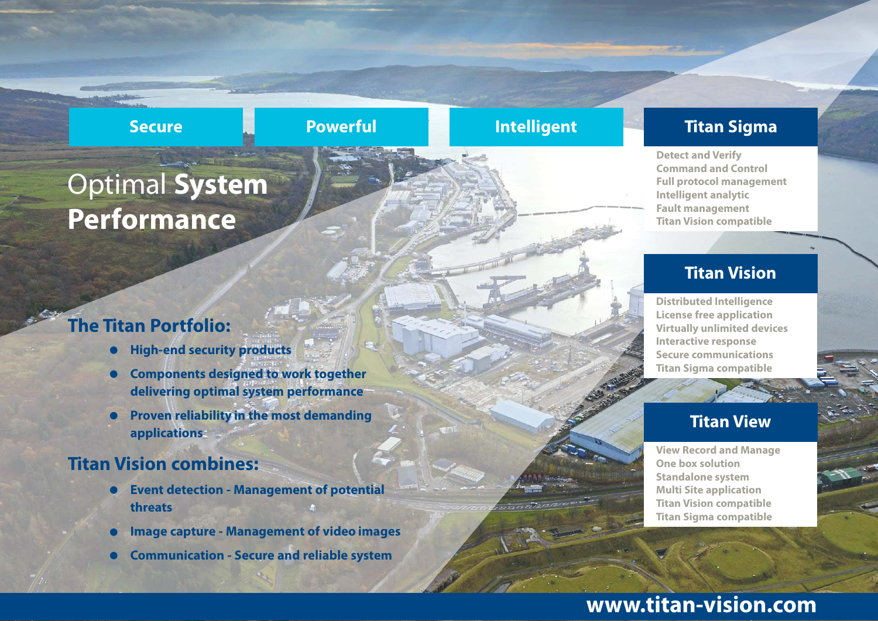#### **Secure Powerful Intelligent**

### **The Titan Portfolio:**

- **•High-end security products**
- **• Components designed to work together delivering optimal system performance**
- **• Proven reliability in the most demanding applications**

### **Titan Vision combines:**

- **• Event detection - Management of potential threats**
- **•Image capture - Management of video images**
- **•Communication - Secure and reliable system**

**View Record and Manage One box solution Standalone system Multi Site application Titan Vision compatible Titan Sigma compatible**

#### **Titan View**

**Distributed Intelligence License free application Virtually unlimited devices Interactive response Secure communications Titan Sigma compatible**

#### **Titan Vision**

**Detect and Verify Command and Control Full protocol management Intelligent analytic Fault management Titan Vision compatible**

### **Titan Sigma**

## **www.titan-vision.com**

## Optimal **System Performance**